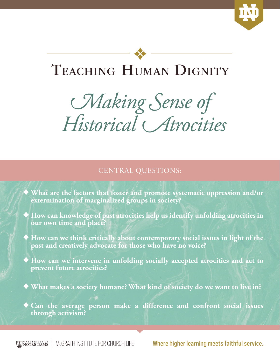

## TEACHING HUMAN DIGNITY

# *Making Sense of Historical Atrocities*

#### CENTRAL QUESTIONS:

♦ **What are the factors that foster and promote systematic oppression and/or extermination of marginalized groups in society?**

♦ **How can knowledge of past atrocities help us identify unfolding atrocities in our own time and place?**

♦ **How can we think critically about contemporary social issues in light of the past and creatively advocate for those who have no voice?**

♦ **How can we intervene in unfolding socially accepted atrocities and act to prevent future atrocities?**

♦ **What makes a society humane? What kind of society do we want to live in?**

♦ **Can the average person make a difference and confront social issues through activism?**

UNIVERSITY OF NOTRE DAME McGRATH INSTITUTE FOR CHURCH LIFE Where higher learning meets faithful service.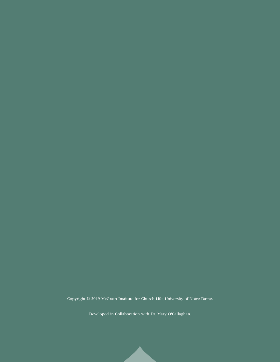Copyright © 2019 McGrath Institute for Church Life, University of Notre Dame.

Developed in Collaboration with Dr. Mary O'Callaghan.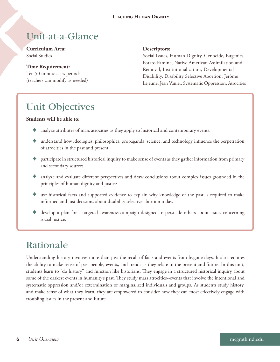### Unit-at-a-Glance

**Curriculum Area:** Social Studies

**Time Requirement:** Ten 50 minute class periods (teachers can modify as needed)

#### **Descriptors:**

Social Issues, Human Dignity, Genocide, Eugenics, Potato Famine, Native American Assimilation and Removal, Institutionalization, Developmental Disability, Disability Selective Abortion, Jérôme Lejeune, Jean Vanier, Systematic Oppression, Atrocities

### Unit Objectives

#### **Students will be able to:**

- analyze attributes of mass atrocities as they apply to historical and contemporary events.
- understand how ideologies, philosophies, propaganda, science, and technology influence the perpetration of atrocities in the past and present.
- participate in structured historical inquiry to make sense of events as they gather information from primary and secondary sources.
- ♦ analyze and evaluate different perspectives and draw conclusions about complex issues grounded in the principles of human dignity and justice.
- ♦ use historical facts and supported evidence to explain why knowledge of the past is required to make informed and just decisions about disability selective abortion today.
- develop a plan for a targeted awareness campaign designed to persuade others about issues concerning social justice.

### Rationale

Understanding history involves more than just the recall of facts and events from bygone days. It also requires the ability to make sense of past people, events, and trends as they relate to the present and future. In this unit, students learn to "do history" and function like historians. They engage in a structured historical inquiry about some of the darkest events in humanity's past. They study mass atrocities--events that involve the intentional and systematic oppression and/or extermination of marginalized individuals and groups. As students study history, and make sense of what they learn, they are empowered to consider how they can most effectively engage with troubling issues in the present and future.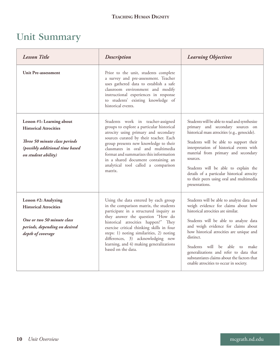### Unit Summary

| <b>Lesson Title</b>                                                                                                                                  | <b>Description</b>                                                                                                                                                                                                                                                                                                                                                                                 | <b>Learning Objectives</b>                                                                                                                                                                                                                                                                                                                                                                                                          |
|------------------------------------------------------------------------------------------------------------------------------------------------------|----------------------------------------------------------------------------------------------------------------------------------------------------------------------------------------------------------------------------------------------------------------------------------------------------------------------------------------------------------------------------------------------------|-------------------------------------------------------------------------------------------------------------------------------------------------------------------------------------------------------------------------------------------------------------------------------------------------------------------------------------------------------------------------------------------------------------------------------------|
| <b>Unit Pre-assessment</b>                                                                                                                           | Prior to the unit, students complete<br>a survey and pre-assessment. Teacher<br>uses gathered data to establish a safe<br>classroom environment and modify<br>instructional experiences in response<br>to students' existing knowledge of<br>historical events.                                                                                                                                    |                                                                                                                                                                                                                                                                                                                                                                                                                                     |
| Lesson #1: Learning about<br><b>Historical Atrocities</b><br>Three 50 minute class periods<br>(possibly additional time based<br>on student ability) | Students work in teacher-assigned<br>groups to explore a particular historical<br>atrocity using primary and secondary<br>sources curated by their teacher. Each<br>group presents new knowledge to their<br>classmates in oral and multimedia<br>format and summarizes this information<br>in a shared document containing an<br>analytical tool called a comparison<br>matrix.                   | Students will be able to read and synthesize<br>primary and secondary sources on<br>historical mass atrocities (e.g., genocide).<br>Students will be able to support their<br>interpretation of historical events with<br>material from primary and secondary<br>sources.<br>Students will be able to explain the<br>details of a particular historical atrocity<br>to their peers using oral and multimedia<br>presentations.      |
| Lesson #2: Analyzing<br><b>Historical Atrocities</b><br>One or two 50 minute class<br>periods, depending on desired<br>depth of coverage             | Using the data entered by each group<br>in the comparison matrix, the students<br>participate in a structured inquiry as<br>they answer the question "How do<br>historical atrocities happen?" They<br>exercise critical thinking skills in four<br>steps: 1) noting similarities, 2) noting<br>differences, 3) acknowledging new<br>learning, and 4) making generalizations<br>based on the data. | Students will be able to analyze data and<br>weigh evidence for claims about how<br>historical atrocities are similar.<br>Students will be able to analyze data<br>and weigh evidence for claims about<br>how historical atrocities are unique and<br>distinct.<br>Students will be able to make<br>generalizations and refer to data that<br>substantiates claims about the factors that<br>enable atrocities to occur in society. |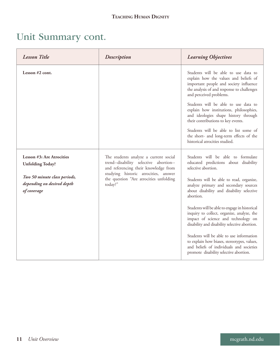### Unit Summary cont.

| <b>Lesson Title</b>                                                       | <b>Description</b>                                                                                                                                                                                                   | <b>Learning Objectives</b>                                                                                                                                                                       |
|---------------------------------------------------------------------------|----------------------------------------------------------------------------------------------------------------------------------------------------------------------------------------------------------------------|--------------------------------------------------------------------------------------------------------------------------------------------------------------------------------------------------|
| Lesson $#2$ cont.                                                         |                                                                                                                                                                                                                      | Students will be able to use data to<br>explain how the values and beliefs of<br>important people and society influence<br>the analysis of and response to challenges<br>and perceived problems. |
|                                                                           |                                                                                                                                                                                                                      | Students will be able to use data to<br>explain how institutions, philosophies,<br>and ideologies shape history through<br>their contributions to key events.                                    |
|                                                                           |                                                                                                                                                                                                                      | Students will be able to list some of<br>the short- and long-term effects of the<br>historical atrocities studied.                                                                               |
| Lesson #3: Are Atrocities<br><b>Unfolding Today?</b>                      | The students analyze a current social<br>trend--disability selective abortion--<br>and referencing their knowledge from<br>studying historic atrocities, answer<br>the question "Are atrocities unfolding<br>today?" | Students will be able to formulate<br>educated predictions about disability<br>selective abortion.                                                                                               |
| Two 50 minute class periods,<br>depending on desired depth<br>of coverage |                                                                                                                                                                                                                      | Students will be able to read, organize,<br>analyze primary and secondary sources<br>about disability and disability selective<br>abortion.                                                      |
|                                                                           |                                                                                                                                                                                                                      | Students will be able to engage in historical<br>inquiry to collect, organize, analyze, the<br>impact of science and technology on<br>disability and disability selective abortion.              |
|                                                                           |                                                                                                                                                                                                                      | Students will be able to use information<br>to explain how biases, stereotypes, values,<br>and beliefs of individuals and societies<br>promote disability selective abortion.                    |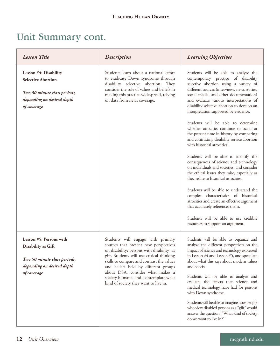### Unit Summary cont.

| <b>Lesson Title</b>                                                                                                             | <b>Description</b>                                                                                                                                                                                                                                                                                                                                                             | <b>Learning Objectives</b>                                                                                                                                                                                                                                                                                                                                                                                                                                                                                                                                                                                                                                                                                                                                                                                                                                                                                                                                                                                                                  |
|---------------------------------------------------------------------------------------------------------------------------------|--------------------------------------------------------------------------------------------------------------------------------------------------------------------------------------------------------------------------------------------------------------------------------------------------------------------------------------------------------------------------------|---------------------------------------------------------------------------------------------------------------------------------------------------------------------------------------------------------------------------------------------------------------------------------------------------------------------------------------------------------------------------------------------------------------------------------------------------------------------------------------------------------------------------------------------------------------------------------------------------------------------------------------------------------------------------------------------------------------------------------------------------------------------------------------------------------------------------------------------------------------------------------------------------------------------------------------------------------------------------------------------------------------------------------------------|
| Lesson #4: Disability<br><b>Selective Abortion</b><br>Two 50 minute class periods,<br>depending on desired depth<br>of coverage | Students learn about a national effort<br>to eradicate Down syndrome through<br>disability selective abortion. They<br>consider the role of values and beliefs in<br>making this practice widespread, relying<br>on data from news coverage.                                                                                                                                   | Students will be able to analyze the<br>contemporary practice of disability<br>selective abortion using a variety of<br>different sources (interviews, news stories,<br>social media, and other documentation)<br>and evaluate various interpretations of<br>disability selective abortion to develop an<br>interpretation supported by evidence.<br>Students will be able to determine<br>whether atrocities continue to occur at<br>the present time in history by comparing<br>and contrasting disability service abortion<br>with historical atrocities.<br>Students will be able to identify the<br>consequences of science and technology<br>on individuals and societies, and consider<br>the ethical issues they raise, especially as<br>they relate to historical atrocities.<br>Students will be able to understand the<br>complex characteristics of historical<br>atrocities and create an effective argument<br>that accurately references them.<br>Students will be able to use credible<br>resources to support an argument. |
| Lesson #5: Persons with<br>Disability as Gift<br>Two 50 minute class periods,<br>depending on desired depth<br>of coverage      | Students will engage with primary<br>sources that present new perspectives<br>on disability: persons with disability as<br>gift. Students will use critical thinking<br>skills to compare and contrast the values<br>and beliefs held by different groups<br>about DSA, consider what makes a<br>society humane, and contemplate what<br>kind of society they want to live in. | Students will be able to organize and<br>analyze the different perspectives on the<br>impact of science and technology expressed<br>in Lesson #4 and Lesson #5, and speculate<br>about what this says about modern values<br>and beliefs.<br>Students will be able to analyze and<br>evaluate the effects that science and<br>medical technology have had for persons<br>with Down syndrome.<br>Students will be able to imagine how people<br>who view disabled persons as a "gift" would<br>answer the question, "What kind of society<br>do we want to live in?"                                                                                                                                                                                                                                                                                                                                                                                                                                                                         |